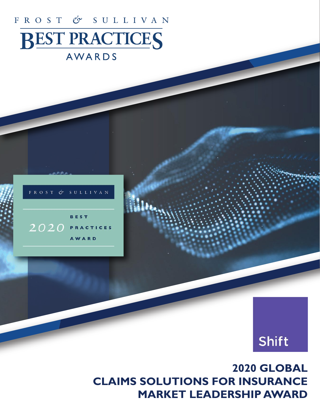# FROST & SULLIVAN **BEST PRACTICES**

# AWARDS





**2020 GLOBAL CLAIMS SOLUTIONS FOR INSURANCE MARKET LEADERSHIP AWARD**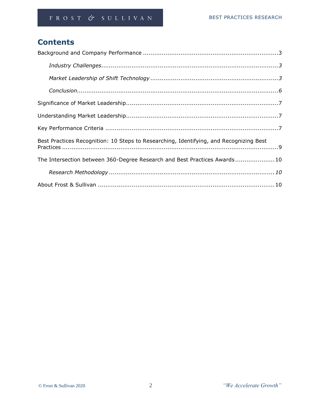# **Contents**

| Best Practices Recognition: 10 Steps to Researching, Identifying, and Recognizing Best |
|----------------------------------------------------------------------------------------|
| The Intersection between 360-Degree Research and Best Practices Awards 10              |
|                                                                                        |
|                                                                                        |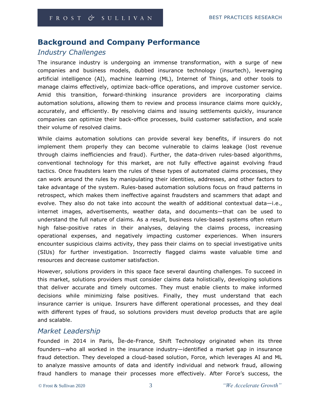# **Background and Company Performance**

# *Industry Challenges*

The insurance industry is undergoing an immense transformation, with a surge of new companies and business models, dubbed insurance technology (insurtech), leveraging artificial intelligence (AI), machine learning (ML), Internet of Things, and other tools to manage claims effectively, optimize back-office operations, and improve customer service. Amid this transition, forward-thinking insurance providers are incorporating claims automation solutions, allowing them to review and process insurance claims more quickly, accurately, and efficiently. By resolving claims and issuing settlements quickly, insurance companies can optimize their back-office processes, build customer satisfaction, and scale their volume of resolved claims.

While claims automation solutions can provide several key benefits, if insurers do not implement them properly they can become vulnerable to claims leakage (lost revenue through claims inefficiencies and fraud). Further, the data-driven rules-based algorithms, conventional technology for this market, are not fully effective against evolving fraud tactics. Once fraudsters learn the rules of these types of automated claims processes, they can work around the rules by manipulating their identities, addresses, and other factors to take advantage of the system. Rules-based automation solutions focus on fraud patterns in retrospect, which makes them ineffective against fraudsters and scammers that adapt and evolve. They also do not take into account the wealth of additional contextual data—i.e., internet images, advertisements, weather data, and documents—that can be used to understand the full nature of claims. As a result, business rules-based systems often return high false-positive rates in their analyses, delaying the claims process, increasing operational expenses, and negatively impacting customer experiences. When insurers encounter suspicious claims activity, they pass their claims on to special investigative units (SIUs) for further investigation. Incorrectly flagged claims waste valuable time and resources and decrease customer satisfaction.

However, solutions providers in this space face several daunting challenges. To succeed in this market, solutions providers must consider claims data holistically, developing solutions that deliver accurate and timely outcomes. They must enable clients to make informed decisions while minimizing false positives. Finally, they must understand that each insurance carrier is unique. Insurers have different operational processes, and they deal with different types of fraud, so solutions providers must develop products that are agile and scalable.

# *Market Leadership*

Founded in 2014 in Paris, Île-de-France, Shift Technology originated when its three founders—who all worked in the insurance industry—identified a market gap in insurance fraud detection. They developed a cloud-based solution, Force, which leverages AI and ML to analyze massive amounts of data and identify individual and network fraud, allowing fraud handlers to manage their processes more effectively. After Force's success, the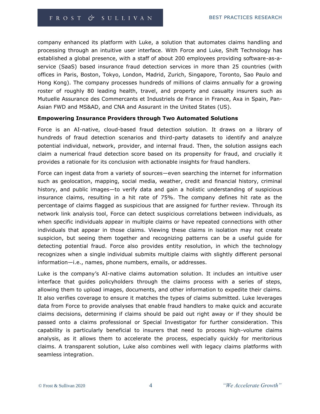company enhanced its platform with Luke, a solution that automates claims handling and processing through an intuitive user interface. With Force and Luke, Shift Technology has established a global presence, with a staff of about 200 employees providing software-as-aservice (SaaS) based insurance fraud detection services in more than 25 countries (with offices in Paris, Boston, Tokyo, London, Madrid, Zurich, Singapore, Toronto, Sao Paulo and Hong Kong). The company processes hundreds of millions of claims annually for a growing roster of roughly 80 leading health, travel, and property and casualty insurers such as Mutuelle Assurance des Commercants et Industriels de France in France, Axa in Spain, Pan-Asian FWD and MS&AD, and CNA and Assurant in the United States (US).

#### **Empowering Insurance Providers through Two Automated Solutions**

Force is an AI-native, cloud-based fraud detection solution. It draws on a library of hundreds of fraud detection scenarios and third-party datasets to identify and analyze potential individual, network, provider, and internal fraud. Then, the solution assigns each claim a numerical fraud detection score based on its propensity for fraud, and crucially it provides a rationale for its conclusion with actionable insights for fraud handlers.

Force can ingest data from a variety of sources—even searching the internet for information such as geolocation, mapping, social media, weather, credit and financial history, criminal history, and public images—to verify data and gain a holistic understanding of suspicious insurance claims, resulting in a hit rate of 75%. The company defines hit rate as the percentage of claims flagged as suspicious that are assigned for further review. Through its network link analysis tool, Force can detect suspicious correlations between individuals, as when specific individuals appear in multiple claims or have repeated connections with other individuals that appear in those claims. Viewing these claims in isolation may not create suspicion, but seeing them together and recognizing patterns can be a useful guide for detecting potential fraud. Force also provides entity resolution, in which the technology recognizes when a single individual submits multiple claims with slightly different personal information—i.e., names, phone numbers, emails, or addresses.

Luke is the company's AI-native claims automation solution. It includes an intuitive user interface that guides policyholders through the claims process with a series of steps, allowing them to upload images, documents, and other information to expedite their claims. It also verifies coverage to ensure it matches the types of claims submitted. Luke leverages data from Force to provide analyses that enable fraud handlers to make quick and accurate claims decisions, determining if claims should be paid out right away or if they should be passed onto a claims professional or Special Investigator for further consideration. This capability is particularly beneficial to insurers that need to process high-volume claims analysis, as it allows them to accelerate the process, especially quickly for meritorious claims. A transparent solution, Luke also combines well with legacy claims platforms with seamless integration.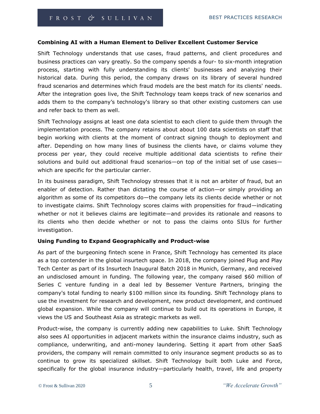#### **Combining AI with a Human Element to Deliver Excellent Customer Service**

Shift Technology understands that use cases, fraud patterns, and client procedures and business practices can vary greatly. So the company spends a four- to six-month integration process, starting with fully understanding its clients' businesses and analyzing their historical data. During this period, the company draws on its library of several hundred fraud scenarios and determines which fraud models are the best match for its clients' needs. After the integration goes live, the Shift Technology team keeps track of new scenarios and adds them to the company's technology's library so that other existing customers can use and refer back to them as well.

Shift Technology assigns at least one data scientist to each client to guide them through the implementation process. The company retains about about 100 data scientists on staff that begin working with clients at the moment of contract signing though to deployment and after. Depending on how many lines of business the clients have, or claims volume they process per year, they could receive multiple additional data scientists to refine their solutions and build out additional fraud scenarios—on top of the initial set of use cases which are specific for the particular carrier.

In its business paradigm, Shift Technology stresses that it is not an arbiter of fraud, but an enabler of detection. Rather than dictating the course of action—or simply providing an algorithm as some of its competitors do—the company lets its clients decide whether or not to investigate claims. Shift Technology scores claims with propensities for fraud—indicating whether or not it believes claims are legitimate—and provides its rationale and reasons to its clients who then decide whether or not to pass the claims onto SIUs for further investigation.

#### **Using Funding to Expand Geographically and Product-wise**

As part of the burgeoning fintech scene in France, Shift Technology has cemented its place as a top contender in the global insurtech space. In 2018, the company joined Plug and Play Tech Center as part of its Insurtech Inaugural Batch 2018 in Munich, Germany, and received an undisclosed amount in funding. The following year, the company raised \$60 million of Series C venture funding in a deal led by Bessemer Venture Partners, bringing the company's total funding to nearly \$100 million since its founding. Shift Technology plans to use the investment for research and development, new product development, and continued global expansion. While the company will continue to build out its operations in Europe, it views the US and Southeast Asia as strategic markets as well.

Product-wise, the company is currently adding new capabilities to Luke. Shift Technology also sees AI opportunities in adjacent markets within the insurance claims industry, such as compliance, underwriting, and anti-money laundering. Setting it apart from other SaaS providers, the company will remain committed to only insurance segment products so as to continue to grow its specialized skillset. Shift Technology built both Luke and Force, specifically for the global insurance industry—particularly health, travel, life and property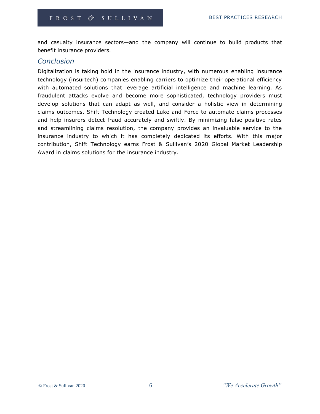and casualty insurance sectors—and the company will continue to build products that benefit insurance providers.

#### *Conclusion*

Digitalization is taking hold in the insurance industry, with numerous enabling insurance technology (insurtech) companies enabling carriers to optimize their operational efficiency with automated solutions that leverage artificial intelligence and machine learning. As fraudulent attacks evolve and become more sophisticated, technology providers must develop solutions that can adapt as well, and consider a holistic view in determining claims outcomes. Shift Technology created Luke and Force to automate claims processes and help insurers detect fraud accurately and swiftly. By minimizing false positive rates and streamlining claims resolution, the company provides an invaluable service to the insurance industry to which it has completely dedicated its efforts. With this major contribution, Shift Technology earns Frost & Sullivan's 2020 Global Market Leadership Award in claims solutions for the insurance industry.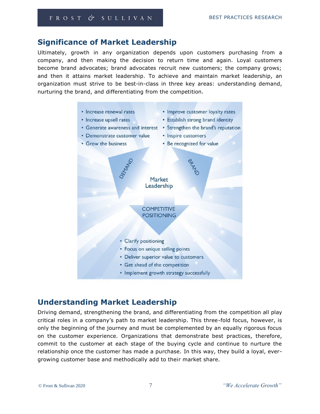# **Significance of Market Leadership**

Ultimately, growth in any organization depends upon customers purchasing from a company, and then making the decision to return time and again. Loyal customers become brand advocates; brand advocates recruit new customers; the company grows; and then it attains market leadership. To achieve and maintain market leadership, an organization must strive to be best-in-class in three key areas: understanding demand, nurturing the brand, and differentiating from the competition.



# **Understanding Market Leadership**

Driving demand, strengthening the brand, and differentiating from the competition all play critical roles in a company's path to market leadership. This three-fold focus, however, is only the beginning of the journey and must be complemented by an equally rigorous focus on the customer experience. Organizations that demonstrate best practices, therefore, commit to the customer at each stage of the buying cycle and continue to nurture the relationship once the customer has made a purchase. In this way, they build a loyal, evergrowing customer base and methodically add to their market share.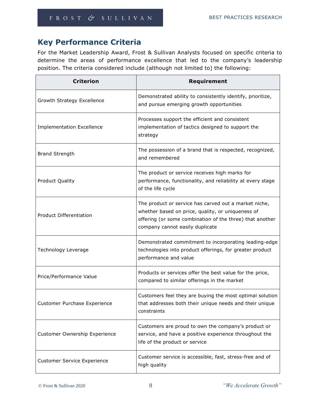Ŧ.

# **Key Performance Criteria**

For the Market Leadership Award, Frost & Sullivan Analysts focused on specific criteria to determine the areas of performance excellence that led to the company's leadership position. The criteria considered include (although not limited to) the following:

| <b>Criterion</b>                   | Requirement                                                                                                                                                                                               |  |  |
|------------------------------------|-----------------------------------------------------------------------------------------------------------------------------------------------------------------------------------------------------------|--|--|
| Growth Strategy Excellence         | Demonstrated ability to consistently identify, prioritize,<br>and pursue emerging growth opportunities                                                                                                    |  |  |
| <b>Implementation Excellence</b>   | Processes support the efficient and consistent<br>implementation of tactics designed to support the<br>strategy                                                                                           |  |  |
| <b>Brand Strength</b>              | The possession of a brand that is respected, recognized,<br>and remembered                                                                                                                                |  |  |
| <b>Product Quality</b>             | The product or service receives high marks for<br>performance, functionality, and reliability at every stage<br>of the life cycle                                                                         |  |  |
| <b>Product Differentiation</b>     | The product or service has carved out a market niche,<br>whether based on price, quality, or uniqueness of<br>offering (or some combination of the three) that another<br>company cannot easily duplicate |  |  |
| Technology Leverage                | Demonstrated commitment to incorporating leading-edge<br>technologies into product offerings, for greater product<br>performance and value                                                                |  |  |
| Price/Performance Value            | Products or services offer the best value for the price,<br>compared to similar offerings in the market                                                                                                   |  |  |
| Customer Purchase Experience       | Customers feel they are buying the most optimal solution<br>that addresses both their unique needs and their unique<br>constraints                                                                        |  |  |
| Customer Ownership Experience      | Customers are proud to own the company's product or<br>service, and have a positive experience throughout the<br>life of the product or service                                                           |  |  |
| <b>Customer Service Experience</b> | Customer service is accessible, fast, stress-free and of<br>high quality                                                                                                                                  |  |  |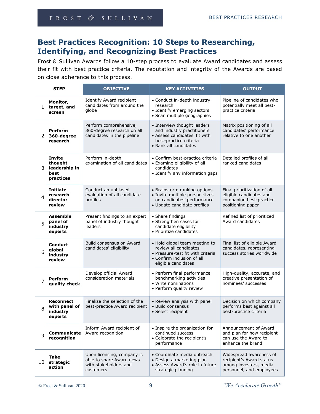# **Best Practices Recognition: 10 Steps to Researching, Identifying, and Recognizing Best Practices**

Frost & Sullivan Awards follow a 10-step process to evaluate Award candidates and assess their fit with best practice criteria. The reputation and integrity of the Awards are based on close adherence to this process.

|                | <b>STEP</b>                                                    | <b>OBJECTIVE</b>                                                                             | <b>KEY ACTIVITIES</b>                                                                                                                            | <b>OUTPUT</b>                                                                                             |
|----------------|----------------------------------------------------------------|----------------------------------------------------------------------------------------------|--------------------------------------------------------------------------------------------------------------------------------------------------|-----------------------------------------------------------------------------------------------------------|
| $\mathbf{1}$   | Monitor,<br>target, and<br>screen                              | Identify Award recipient<br>candidates from around the<br>globe                              | • Conduct in-depth industry<br>research<br>• Identify emerging sectors<br>· Scan multiple geographies                                            | Pipeline of candidates who<br>potentially meet all best-<br>practice criteria                             |
| $\overline{2}$ | <b>Perform</b><br>360-degree<br>research                       | Perform comprehensive,<br>360-degree research on all<br>candidates in the pipeline           | • Interview thought leaders<br>and industry practitioners<br>• Assess candidates' fit with<br>best-practice criteria<br>• Rank all candidates    | Matrix positioning of all<br>candidates' performance<br>relative to one another                           |
| 3              | <b>Invite</b><br>thought<br>leadership in<br>best<br>practices | Perform in-depth<br>examination of all candidates                                            | • Confirm best-practice criteria<br>• Examine eligibility of all<br>candidates<br>• Identify any information gaps                                | Detailed profiles of all<br>ranked candidates                                                             |
| 4              | <b>Initiate</b><br>research<br>director<br>review              | Conduct an unbiased<br>evaluation of all candidate<br>profiles                               | • Brainstorm ranking options<br>• Invite multiple perspectives<br>on candidates' performance<br>· Update candidate profiles                      | Final prioritization of all<br>eligible candidates and<br>companion best-practice<br>positioning paper    |
| 5              | <b>Assemble</b><br>panel of<br>industry<br>experts             | Present findings to an expert<br>panel of industry thought<br>leaders                        | • Share findings<br>• Strengthen cases for<br>candidate eligibility<br>• Prioritize candidates                                                   | Refined list of prioritized<br>Award candidates                                                           |
| 6              | <b>Conduct</b><br>global<br>industry<br>review                 | Build consensus on Award<br>candidates' eligibility                                          | • Hold global team meeting to<br>review all candidates<br>• Pressure-test fit with criteria<br>• Confirm inclusion of all<br>eligible candidates | Final list of eligible Award<br>candidates, representing<br>success stories worldwide                     |
| 7              | Perform<br>quality check                                       | Develop official Award<br>consideration materials                                            | • Perform final performance<br>benchmarking activities<br>• Write nominations<br>• Perform quality review                                        | High-quality, accurate, and<br>creative presentation of<br>nominees' successes                            |
| 8              | <b>Reconnect</b><br>with panel of<br>industry<br>experts       | Finalize the selection of the<br>best-practice Award recipient                               | • Review analysis with panel<br>· Build consensus<br>• Select recipient                                                                          | Decision on which company<br>performs best against all<br>best-practice criteria                          |
| 9              | Communicate<br>recognition                                     | Inform Award recipient of<br>Award recognition                                               | • Inspire the organization for<br>continued success<br>• Celebrate the recipient's<br>performance                                                | Announcement of Award<br>and plan for how recipient<br>can use the Award to<br>enhance the brand          |
| 10             | Take<br>strategic<br>action                                    | Upon licensing, company is<br>able to share Award news<br>with stakeholders and<br>customers | • Coordinate media outreach<br>• Design a marketing plan<br>• Assess Award's role in future<br>strategic planning                                | Widespread awareness of<br>recipient's Award status<br>among investors, media<br>personnel, and employees |

© Frost & Sullivan 2020 9 *"We Accelerate Growth"*